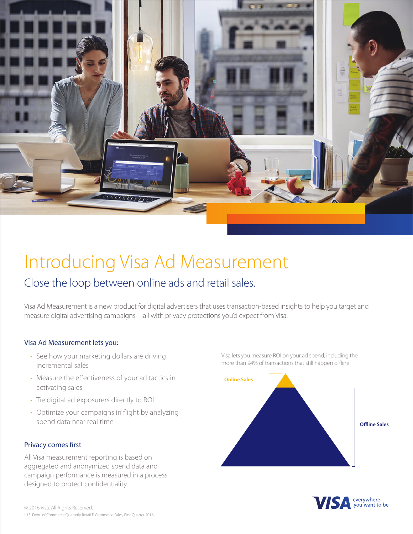

# Introducing Visa Ad Measurement

### Close the loop between online ads and retail sales.

Visa Ad Measurement is a new product for digital advertisers that uses transaction-based insights to help you target and measure digital advertising campaigns—all with privacy protections you'd expect from Visa.

#### Visa Ad Measurement lets you:

- See how your marketing dollars are driving incremental sales
- Measure the effectiveness of your ad tactics in activating sales
- Tie digital ad exposurers directly to ROI
- Optimize your campaigns in flight by analyzing spend data near real time

#### Privacy comes first

All Visa measurement reporting is based on aggregated and anonymized spend data and campaign performance is measured in a process designed to protect confidentiality.

© 2016 Visa. All Rights Reserved. 1 U.S. Dept. of Commerce Quarterly Retail E-Commerce Sales, First Quarter 2016 Visa lets you measure ROI on your ad spend, including the more than 94% of transactions that still happen offline<sup>1</sup>